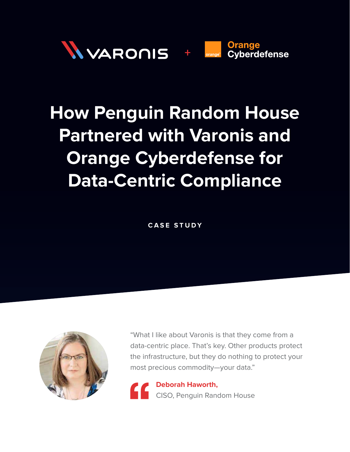

# **How Penguin Random House Partnered with Varonis and Orange Cyberdefense for Data-Centric Compliance**

**CASE STUDY**



"What I like about Varonis is that they come from a data-centric place. That's key. Other products protect the infrastructure, but they do nothing to protect your most precious commodity—your data."

**Deborah Haworth,** CISO, Penguin Random House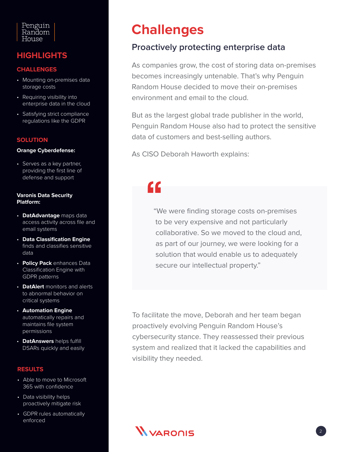

#### **HIGHLIGHTS**

#### **CHALLENGES**

- Mounting on-premises data storage costs
- Requiring visibility into enterprise data in the cloud
- Satisfying strict compliance regulations like the GDPR

#### **SOLUTION**

#### **Orange Cyberdefense:**

• Serves as a key partner, providing the first line of defense and support

#### **Varonis Data Security Platform:**

- **DatAdvantage** maps data access activity across file and email systems
- **Data Classification Engine** finds and classifies sensitive data
- **Policy Pack** enhances Data Classification Engine with GDPR patterns
- **DatAlert** monitors and alerts to abnormal behavior on critical systems
- **Automation Engine**  automatically repairs and maintains file system permissions
- **DatAnswers** helps fulfill DSARs quickly and easily

#### **RESULTS**

- Able to move to Microsoft 365 with confidence
- Data visibility helps proactively mitigate risk
- GDPR rules automatically enforced

### **Challenges**

#### **Proactively protecting enterprise data**

As companies grow, the cost of storing data on-premises becomes increasingly untenable. That's why Penguin Random House decided to move their on-premises environment and email to the cloud.

But as the largest global trade publisher in the world, Penguin Random House also had to protect the sensitive data of customers and best-selling authors.

As CISO Deborah Haworth explains:

## "

"We were finding storage costs on-premises to be very expensive and not particularly collaborative. So we moved to the cloud and, as part of our journey, we were looking for a solution that would enable us to adequately secure our intellectual property."

To facilitate the move, Deborah and her team began proactively evolving Penguin Random House's cybersecurity stance. They reassessed their previous system and realized that it lacked the capabilities and visibility they needed.

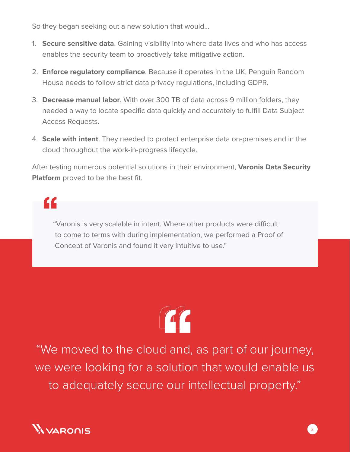So they began seeking out a new solution that would…

- 1. **Secure sensitive data**. Gaining visibility into where data lives and who has access enables the security team to proactively take mitigative action.
- 2. **Enforce regulatory compliance**. Because it operates in the UK, Penguin Random House needs to follow strict data privacy regulations, including GDPR.
- 3. **Decrease manual labor**. With over 300 TB of data across 9 million folders, they needed a way to locate specific data quickly and accurately to fulfill Data Subject Access Requests.
- 4. **Scale with intent**. They needed to protect enterprise data on-premises and in the cloud throughout the work-in-progress lifecycle.

After testing numerous potential solutions in their environment, **Varonis Data Security Platform** proved to be the best fit.

"

"Varonis is very scalable in intent. Where other products were difficult to come to terms with during implementation, we performed a Proof of Concept of Varonis and found it very intuitive to use."



"We moved to the cloud and, as part of our journey, we were looking for a solution that would enable us to adequately secure our intellectual property."

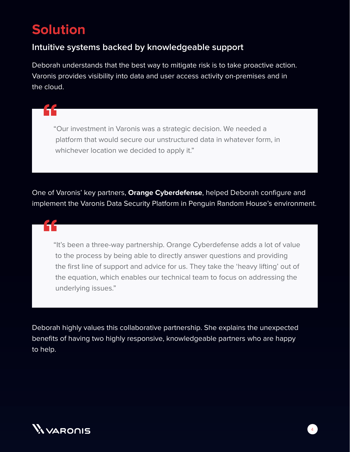### **Solution**

44

44

#### **Intuitive systems backed by knowledgeable support**

Deborah understands that the best way to mitigate risk is to take proactive action. Varonis provides visibility into data and user access activity on-premises and in the cloud.

"Our investment in Varonis was a strategic decision. We needed a platform that would secure our unstructured data in whatever form, in whichever location we decided to apply it."

One of Varonis' key partners, **Orange Cyberdefense**, helped Deborah configure and implement the Varonis Data Security Platform in Penguin Random House's environment.

"It's been a three-way partnership. Orange Cyberdefense adds a lot of value to the process by being able to directly answer questions and providing the first line of support and advice for us. They take the 'heavy lifting' out of the equation, which enables our technical team to focus on addressing the underlying issues."

Deborah highly values this collaborative partnership. She explains the unexpected benefits of having two highly responsive, knowledgeable partners who are happy to help.

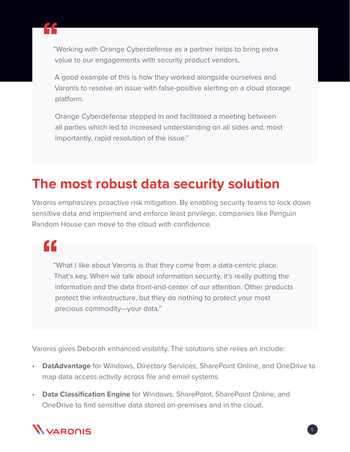

"Working with Orange Cyberdefense as a partner helps to bring extra value to our engagements with security product vendors.

A good example of this is how they worked alongside ourselves and Varonis to resolve an issue with false-positive alerting on a cloud storage platform.

Orange Cyberdefense stepped in and facilitated a meeting between all parties which led to increased understanding on all sides and, most importantly, rapid resolution of the issue."

### **The most robust data security solution**

Varonis emphasizes proactive risk mitigation. By enabling security teams to lock down sensitive data and implement and enforce least privilege, companies like Penguin Random House can move to the cloud with confidence.

## "

"What I like about Varonis is that they come from a data-centric place. That's key. When we talk about information security, it's really putting the information and the data front-and-center of our attention. Other products protect the infrastructure, but they do nothing to protect your most precious commodity—your data."

Varonis gives Deborah enhanced visibility. The solutions she relies on include:

- **DatAdvantage** for Windows, Directory Services, SharePoint Online, and OneDrive to map data access activity across file and email systems.
- **Data Classification Engine** for Windows, SharePoint, SharePoint Online, and OneDrive to find sensitive data stored on-premises and in the cloud.

### **W** VARONIS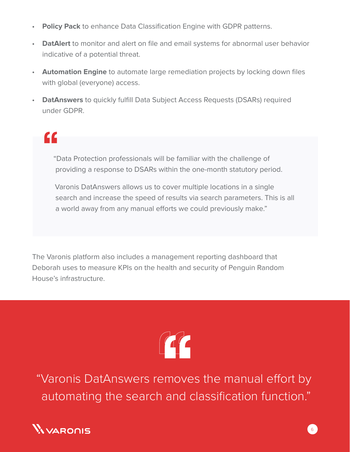- **Policy Pack** to enhance Data Classification Engine with GDPR patterns.
- **DatAlert** to monitor and alert on file and email systems for abnormal user behavior indicative of a potential threat.
- **Automation Engine** to automate large remediation projects by locking down files with global (everyone) access.
- **DatAnswers** to quickly fulfill Data Subject Access Requests (DSARs) required under GDPR.

## $\epsilon$

"Data Protection professionals will be familiar with the challenge of providing a response to DSARs within the one-month statutory period.

Varonis DatAnswers allows us to cover multiple locations in a single search and increase the speed of results via search parameters. This is all a world away from any manual efforts we could previously make."

The Varonis platform also includes a management reporting dashboard that Deborah uses to measure KPIs on the health and security of Penguin Random House's infrastructure.



"Varonis DatAnswers removes the manual effort by automating the search and classification function."

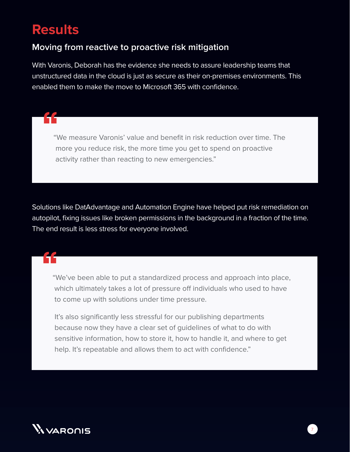### **Results**

 $\mathbf{H}$ 

#### **Moving from reactive to proactive risk mitigation**

With Varonis, Deborah has the evidence she needs to assure leadership teams that unstructured data in the cloud is just as secure as their on-premises environments. This enabled them to make the move to Microsoft 365 with confidence.

"We measure Varonis' value and benefit in risk reduction over time. The more you reduce risk, the more time you get to spend on proactive activity rather than reacting to new emergencies."

Solutions like DatAdvantage and Automation Engine have helped put risk remediation on autopilot, fixing issues like broken permissions in the background in a fraction of the time. The end result is less stress for everyone involved.

"We've been able to put a standardized process and approach into place, which ultimately takes a lot of pressure off individuals who used to have to come up with solutions under time pressure.

It's also significantly less stressful for our publishing departments because now they have a clear set of guidelines of what to do with sensitive information, how to store it, how to handle it, and where to get help. It's repeatable and allows them to act with confidence."

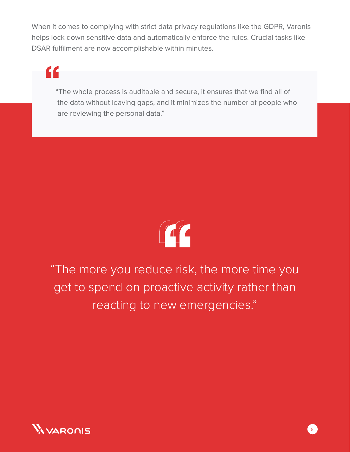When it comes to complying with strict data privacy regulations like the GDPR, Varonis helps lock down sensitive data and automatically enforce the rules. Crucial tasks like DSAR fulfilment are now accomplishable within minutes.

## "

"The whole process is auditable and secure, it ensures that we find all of the data without leaving gaps, and it minimizes the number of people who are reviewing the personal data."



"The more you reduce risk, the more time you get to spend on proactive activity rather than reacting to new emergencies."